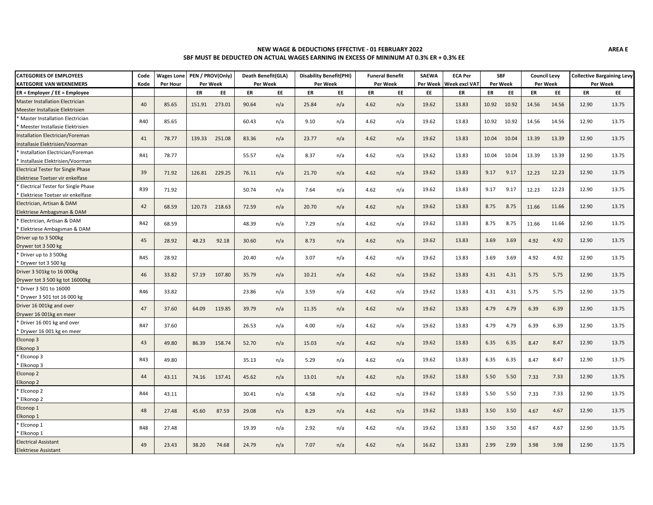#### **NEW WAGE & DEDUCTIONS EFFECTIVE - 01 FEBRUARY 2022 SBF MUST BE DEDUCTED ON ACTUAL WAGES EARNING IN EXCESS OF MININUM AT 0.3% ER + 0.3% EE**

| <b>CATEGORIES OF EMPLOYEES</b><br><b>KATEGORIE VAN WEKNEMERS</b> | Code<br>Kode | <b>Wages Lone</b><br>Per Hour | PEN / PROV(Only)<br>Per Week | Death Benefit(GLA)<br>Per Week |     | <b>Disability Benefit(PHI)</b><br>Per Week |     | <b>Funeral Benefit</b><br>Per Week |     | <b>SAEWA</b><br>Per Week | <b>ECA Per</b><br>Week excl VAT | SBF<br>Per Week |       | <b>Council Levy</b><br>Per Week |       | <b>Collective Bargaining Levy</b><br>Per Week |       |
|------------------------------------------------------------------|--------------|-------------------------------|------------------------------|--------------------------------|-----|--------------------------------------------|-----|------------------------------------|-----|--------------------------|---------------------------------|-----------------|-------|---------------------------------|-------|-----------------------------------------------|-------|
| ER = Employer / EE = Employee                                    |              |                               | ER<br>EE.                    | ER                             | EE  | ER                                         | EE  | ER                                 | EE  | EE.                      | ER                              | ER              | EE.   | ER                              | EE    | ER                                            | EE.   |
| <b>Master Installation Electrician</b>                           | 40           | 85.65                         | 151.91<br>273.01             | 90.64                          | n/a | 25.84                                      | n/a | 4.62                               | n/a | 19.62                    | 13.83                           | 10.92           | 10.92 | 14.56                           | 14.56 | 12.90                                         | 13.75 |
| Meester Installasie Elektrisien                                  |              |                               |                              |                                |     |                                            |     |                                    |     |                          |                                 |                 |       |                                 |       |                                               |       |
| Master Installation Electrician                                  | R40          | 85.65                         |                              | 60.43                          | n/a | 9.10                                       | n/a | 4.62                               | n/a | 19.62                    | 13.83                           | 10.92           | 10.92 | 14.56                           | 14.56 | 12.90                                         | 13.75 |
| Meester Installasie Elektrisien                                  |              |                               |                              |                                |     |                                            |     |                                    |     |                          |                                 |                 |       |                                 |       |                                               |       |
| Installation Electrician/Foreman                                 | 41           | 78.77                         | 139.33<br>251.08             | 83.36                          | n/a | 23.77                                      | n/a | 4.62                               | n/a | 19.62                    | 13.83                           | 10.04           | 10.04 | 13.39                           | 13.39 | 12.90                                         | 13.75 |
| Installasie Elektrisien/Voorman                                  |              |                               |                              |                                |     |                                            |     |                                    |     |                          |                                 |                 |       |                                 |       |                                               |       |
| * Installation Electrician/Foreman                               | R41          | 78.77                         |                              | 55.57                          | n/a | 8.37                                       | n/a | 4.62                               | n/a | 19.62                    | 13.83                           | 10.04           | 10.04 | 13.39                           | 13.39 | 12.90                                         | 13.75 |
| Installasie Elektrisien/Voorman                                  |              |                               |                              |                                |     |                                            |     |                                    |     |                          |                                 |                 |       |                                 |       |                                               |       |
| <b>Electrical Tester for Single Phase</b>                        | 39           | 71.92                         | 126.81 229.25                | 76.11                          | n/a | 21.70                                      | n/a | 4.62                               | n/a | 19.62                    | 13.83                           | 9.17            | 9.17  | 12.23                           | 12.23 | 12.90                                         | 13.75 |
| Elektriese Toetser vir enkelfase                                 |              |                               |                              |                                |     |                                            |     |                                    |     |                          |                                 |                 |       |                                 |       |                                               |       |
| <b>Electrical Tester for Single Phase</b>                        | R39          | 71.92                         |                              | 50.74                          | n/a | 7.64                                       | n/a | 4.62                               | n/a | 19.62                    | 13.83                           | 9.17            | 9.17  | 12.23                           | 12.23 | 12.90                                         | 13.75 |
| Elektriese Toetser vir enkelfase                                 |              |                               |                              |                                |     |                                            |     |                                    |     |                          |                                 |                 |       |                                 |       |                                               |       |
| Electrician, Artisan & DAM                                       | 42           | 68.59                         | 120.73<br>218.63             | 72.59                          | n/a | 20.70                                      | n/a | 4.62                               | n/a | 19.62                    | 13.83                           | 8.75            | 8.75  | 11.66                           | 11.66 | 12.90                                         | 13.75 |
| Elektriese Ambagsman & DAM                                       |              |                               |                              |                                |     |                                            |     |                                    |     |                          |                                 |                 |       |                                 |       |                                               |       |
| Electrician, Artisan & DAM                                       | R42          | 68.59                         |                              | 48.39                          | n/a | 7.29                                       | n/a | 4.62                               |     | 19.62                    | 13.83                           | 8.75            | 8.75  | 11.66                           | 11.66 | 12.90                                         | 13.75 |
| Elektriese Ambagsman & DAM                                       |              |                               |                              |                                |     |                                            |     |                                    | n/a |                          |                                 |                 |       |                                 |       |                                               |       |
| Driver up to 3 500kg                                             | 45           | 28.92                         | 48.23<br>92.18               | 30.60                          |     | 8.73                                       |     | 4.62                               |     | 19.62                    | 13.83                           | 3.69            | 3.69  | 4.92                            | 4.92  | 12.90                                         | 13.75 |
| Drywer tot 3 500 kg                                              |              |                               |                              |                                | n/a |                                            | n/a |                                    | n/a |                          |                                 |                 |       |                                 |       |                                               |       |
| Driver up to 3 500kg                                             | R45          | 28.92                         |                              |                                |     |                                            |     | 4.62                               |     | 19.62                    | 13.83                           | 3.69            | 3.69  | 4.92                            | 4.92  | 12.90                                         | 13.75 |
| Drywer tot 3 500 kg                                              |              |                               |                              | 20.40                          | n/a | 3.07                                       | n/a |                                    | n/a |                          |                                 |                 |       |                                 |       |                                               |       |
| Driver 3 501kg to 16 000kg                                       | 46           | 33.82                         |                              |                                |     | 10.21                                      |     |                                    |     | 19.62                    | 13.83                           | 4.31            | 4.31  | 5.75                            | 5.75  | 12.90                                         | 13.75 |
| Drywer tot 3 500 kg tot 16000kg                                  |              |                               | 57.19<br>107.80              | 35.79                          | n/a |                                            | n/a | 4.62                               | n/a |                          |                                 |                 |       |                                 |       |                                               |       |
| Driver 3 501 to 16000                                            | R46          | 33.82                         |                              |                                |     |                                            |     |                                    |     | 19.62                    | 13.83                           | 4.31            | 4.31  |                                 | 5.75  | 12.90                                         | 13.75 |
| Drywer 3 501 tot 16 000 kg                                       |              |                               |                              | 23.86                          | n/a | 3.59                                       | n/a | 4.62                               | n/a |                          |                                 |                 |       | 5.75                            |       |                                               |       |
| Driver 16 001kg and over                                         | 47           | 37.60                         | 64.09<br>119.85              | 39.79                          |     |                                            |     | 4.62                               |     | 19.62                    | 13.83                           | 4.79            | 4.79  | 6.39                            | 6.39  | 12.90                                         | 13.75 |
| Drywer 16 001kg en meer                                          |              |                               |                              |                                | n/a | 11.35                                      | n/a |                                    | n/a |                          |                                 |                 |       |                                 |       |                                               |       |
| * Driver 16 001 kg and over                                      | R47          |                               |                              |                                |     |                                            |     |                                    |     | 19.62                    | 13.83                           | 4.79            | 4.79  |                                 | 6.39  | 12.90                                         | 13.75 |
| Drywer 16 001 kg en meer                                         |              | 37.60                         |                              | 26.53                          | n/a | 4.00                                       | n/a | 4.62                               | n/a |                          |                                 |                 |       | 6.39                            |       |                                               |       |
| Elconop 3                                                        |              |                               |                              |                                |     |                                            |     |                                    |     |                          |                                 |                 |       |                                 |       |                                               |       |
| Elkonop 3                                                        | 43           | 49.80                         | 86.39<br>158.74              | 52.70                          | n/a | 15.03                                      | n/a | 4.62                               | n/a | 19.62                    | 13.83                           | 6.35            | 6.35  | 8.47                            | 8.47  | 12.90                                         | 13.75 |
| Elconop 3                                                        |              |                               |                              |                                |     |                                            |     |                                    |     |                          |                                 |                 |       |                                 |       |                                               |       |
| Elkonop 3                                                        | R43          | 49.80                         |                              | 35.13                          | n/a | 5.29                                       | n/a | 4.62                               | n/a | 19.62                    | 13.83                           | 6.35            | 6.35  | 8.47                            | 8.47  | 12.90                                         | 13.75 |
| Elconop <sub>2</sub>                                             |              |                               |                              |                                |     |                                            |     |                                    |     |                          |                                 |                 |       |                                 |       |                                               |       |
| Elkonop <sub>2</sub>                                             | 44           | 43.11                         | 137.41<br>74.16              | 45.62                          | n/a | 13.01                                      | n/a | 4.62                               | n/a | 19.62                    | 13.83                           | 5.50            | 5.50  | 7.33                            | 7.33  | 12.90                                         | 13.75 |
| Elconop 2                                                        |              |                               |                              |                                |     |                                            |     |                                    |     |                          |                                 |                 |       |                                 |       |                                               |       |
| Elkonop <sub>2</sub>                                             | R44          | 43.11                         |                              | 30.41                          | n/a | 4.58                                       | n/a | 4.62                               | n/a | 19.62                    | 13.83                           | 5.50            | 5.50  | 7.33                            | 7.33  | 12.90                                         | 13.75 |
| Elconop 1                                                        |              |                               |                              |                                |     |                                            |     |                                    |     |                          |                                 |                 |       |                                 |       |                                               |       |
| Elkonop 1                                                        | 48           | 27.48                         | 45.60<br>87.59               | 29.08                          | n/a | 8.29                                       | n/a | 4.62                               | n/a | 19.62                    | 13.83                           | 3.50            | 3.50  | 4.67                            | 4.67  | 12.90                                         | 13.75 |
| Elconop 1                                                        |              |                               |                              |                                |     |                                            |     |                                    |     |                          |                                 |                 |       |                                 |       |                                               |       |
| Elkonop 1                                                        | <b>R48</b>   | 27.48                         |                              | 19.39                          | n/a | 2.92                                       | n/a | 4.62                               | n/a | 19.62                    | 13.83                           | 3.50            | 3.50  | 4.67                            | 4.67  | 12.90                                         | 13.75 |
| <b>Electrical Assistant</b>                                      |              |                               |                              |                                |     |                                            |     |                                    |     |                          |                                 |                 |       |                                 |       |                                               |       |
| <b>Elektriese Assistant</b>                                      | 49           | 23.43                         | 74.68<br>38.20               | 24.79                          | n/a | 7.07                                       | n/a | 4.62                               | n/a | 16.62                    | 13.83                           | 2.99            | 2.99  | 3.98                            | 3.98  | 12.90                                         | 13.75 |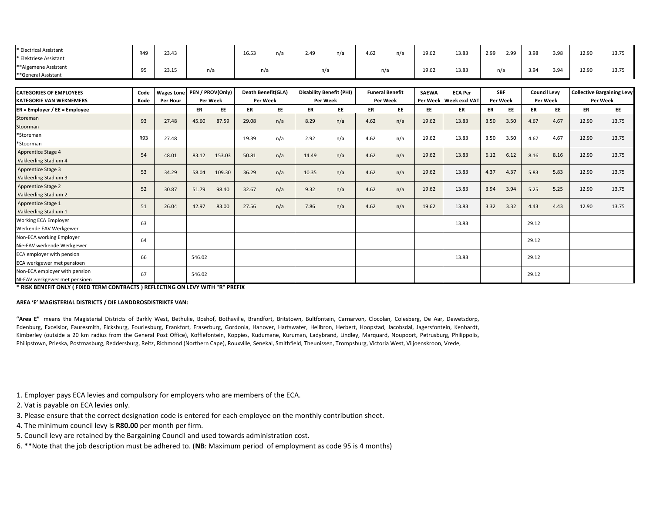| * Electrical Assistant          | R49                                 | 23.43    |          |                                                       | 16.53    | n/a | 2.49                                   | n/a | 4.62     | n/a            | 19.62      | 13.83                    | 2.99                | 2.99     | 3.98     | 3.98                              | 12.90     | 13.75 |
|---------------------------------|-------------------------------------|----------|----------|-------------------------------------------------------|----------|-----|----------------------------------------|-----|----------|----------------|------------|--------------------------|---------------------|----------|----------|-----------------------------------|-----------|-------|
| * Elektriese Assistant          |                                     |          |          |                                                       |          |     |                                        |     |          |                |            |                          |                     |          |          |                                   |           |       |
| **Algemene Assistent            | 95                                  | 23.15    |          | n/a                                                   | n/a      |     |                                        | n/a |          | n/a            | 19.62      | 13.83                    |                     | n/a      | 3.94     | 3.94                              | 12.90     | 13.75 |
| **General Assistant             |                                     |          |          |                                                       |          |     |                                        |     |          |                |            |                          |                     |          |          |                                   |           |       |
|                                 |                                     |          |          |                                                       |          |     |                                        |     |          |                |            |                          |                     |          |          |                                   |           |       |
| <b>CATEGORIES OF EMPLOYEES</b>  | Wages Lone PEN / PROV(Only)<br>Code |          |          | Death Benefit(GLA)<br><b>Disability Benefit (PHI)</b> |          |     | <b>Funeral Benefit</b><br><b>SAEWA</b> |     |          | <b>ECA Per</b> | <b>SBF</b> |                          | <b>Council Levy</b> |          |          | <b>Collective Bargaining Levy</b> |           |       |
| <b>KATEGORIE VAN WEKNEMERS</b>  | Kode                                | Per Hour | Per Week |                                                       | Per Week |     | Per Week                               |     | Per Week |                |            | Per Week   Week excl VAT |                     | Per Week | Per Week |                                   | Per Week  |       |
| $ER =$ Employer / EE = Employee |                                     |          | ER       | EE                                                    | ER       | EE. | ER                                     | EE  | ER       | EE             | EE.        | ER                       | ER                  | EE       | ER       | EE                                | <b>ER</b> | EE    |
| Storeman                        | 93                                  | 27.48    | 45.60    | 87.59                                                 | 29.08    | n/a | 8.29                                   | n/a | 4.62     | n/a            | 19.62      | 13.83                    | 3.50                | 3.50     | 4.67     | 4.67                              | 12.90     | 13.75 |
| Stoorman                        |                                     |          |          |                                                       |          |     |                                        |     |          |                |            |                          |                     |          |          |                                   |           |       |
| *Storeman                       | R93                                 | 27.48    |          |                                                       | 19.39    | n/a | 2.92                                   | n/a | 4.62     | n/a            | 19.62      | 13.83                    | 3.50                | 3.50     | 4.67     | 4.67                              | 12.90     | 13.75 |
| *Stoorman                       |                                     |          |          |                                                       |          |     |                                        |     |          |                |            |                          |                     |          |          |                                   |           |       |
| Apprentice Stage 4              | 54                                  | 48.01    | 83.12    | 153.03                                                | 50.81    | n/a | 14.49                                  | n/a | 4.62     | n/a            | 19.62      | 13.83                    | 6.12                | 6.12     | 8.16     | 8.16                              | 12.90     | 13.75 |
| Vakleerling Stadium 4           |                                     |          |          |                                                       |          |     |                                        |     |          |                |            |                          |                     |          |          |                                   |           |       |
| Apprentice Stage 3              | 53                                  | 34.29    | 58.04    | 109.30                                                | 36.29    | n/a | 10.35                                  | n/a | 4.62     | n/a            | 19.62      | 13.83                    | 4.37                | 4.37     | 5.83     | 5.83                              | 12.90     | 13.75 |
| Vakleerling Stadium 3           |                                     |          |          |                                                       |          |     |                                        |     |          |                |            |                          |                     |          |          |                                   |           |       |
| <b>Apprentice Stage 2</b>       | 52                                  | 30.87    | 51.79    | 98.40                                                 | 32.67    | n/a | 9.32                                   | n/a | 4.62     | n/a            | 19.62      | 13.83                    | 3.94                | 3.94     | 5.25     | 5.25                              | 12.90     | 13.75 |
| Vakleerling Stadium 2           |                                     |          |          |                                                       |          |     |                                        |     |          |                |            |                          |                     |          |          |                                   |           |       |
| Apprentice Stage 1              | 51                                  | 26.04    | 42.97    | 83.00                                                 | 27.56    | n/a | 7.86                                   | n/a | 4.62     | n/a            | 19.62      | 13.83                    | 3.32                | 3.32     | 4.43     | 4.43                              | 12.90     | 13.75 |
| Vakleerling Stadium 1           |                                     |          |          |                                                       |          |     |                                        |     |          |                |            |                          |                     |          |          |                                   |           |       |
| <b>Working ECA Employer</b>     | 63                                  |          |          |                                                       |          |     |                                        |     |          |                |            | 13.83                    |                     |          | 29.12    |                                   |           |       |
| Werkende EAV Werkgewer          |                                     |          |          |                                                       |          |     |                                        |     |          |                |            |                          |                     |          |          |                                   |           |       |
| Non-ECA working Employer        | 64                                  |          |          |                                                       |          |     |                                        |     |          |                |            |                          |                     |          | 29.12    |                                   |           |       |
| Nie-EAV werkende Werkgewer      |                                     |          |          |                                                       |          |     |                                        |     |          |                |            |                          |                     |          |          |                                   |           |       |
| ECA employer with pension       | 66                                  |          | 546.02   |                                                       |          |     |                                        |     |          |                |            | 13.83                    |                     |          | 29.12    |                                   |           |       |
| ECA werkgewer met pensioen      |                                     |          |          |                                                       |          |     |                                        |     |          |                |            |                          |                     |          |          |                                   |           |       |
| Non-ECA employer with pension   | 67                                  |          | 546.02   |                                                       |          |     |                                        |     |          |                |            |                          |                     |          | 29.12    |                                   |           |       |
| NI-EAV werkgewer met pensioen   |                                     |          |          |                                                       |          |     |                                        |     |          |                |            |                          |                     |          |          |                                   |           |       |

**\* RISK BENEFIT ONLY ( FIXED TERM CONTRACTS ) REFLECTING ON LEVY WITH "R" PREFIX** 

#### **AREA 'E' MAGISTERIAL DISTRICTS / DIE LANDDROSDISTRIKTE VAN:**

**"Area E"** means the Magisterial Districts of Barkly West, Bethulie, Boshof, Bothaville, Brandfort, Britstown, Bultfontein, Carnarvon, Clocolan, Colesberg, De Aar, Dewetsdorp, Edenburg, Excelsior, Fauresmith, Ficksburg, Fouriesburg, Frankfort, Fraserburg, Gordonia, Hanover, Hartswater, Heilbron, Herbert, Hoopstad, Jacobsdal, Jagersfontein, Kenhardt, Kimberley (outside a 20 km radius from the General Post Office), Koffiefontein, Koppies, Kudumane, Kuruman, Ladybrand, Lindley, Marquard, Noupoort, Petrusburg, Philippolis, Philipstown, Prieska, Postmasburg, Reddersburg, Reitz, Richmond (Northern Cape), Rouxville, Senekal, Smithfield, Theunissen, Trompsburg, Victoria West, Viljoenskroon, Vrede,

1. Employer pays ECA levies and compulsory for employers who are members of the ECA.

2. Vat is payable on ECA levies only.

3. Please ensure that the correct designation code is entered for each employee on the monthly contribution sheet.

- 4. The minimum council levy is **R80.00** per month per firm.
- 5. Council levy are retained by the Bargaining Council and used towards administration cost.
- 6. \*\*Note that the job description must be adhered to. (**NB**: Maximum period of employment as code 95 is 4 months)